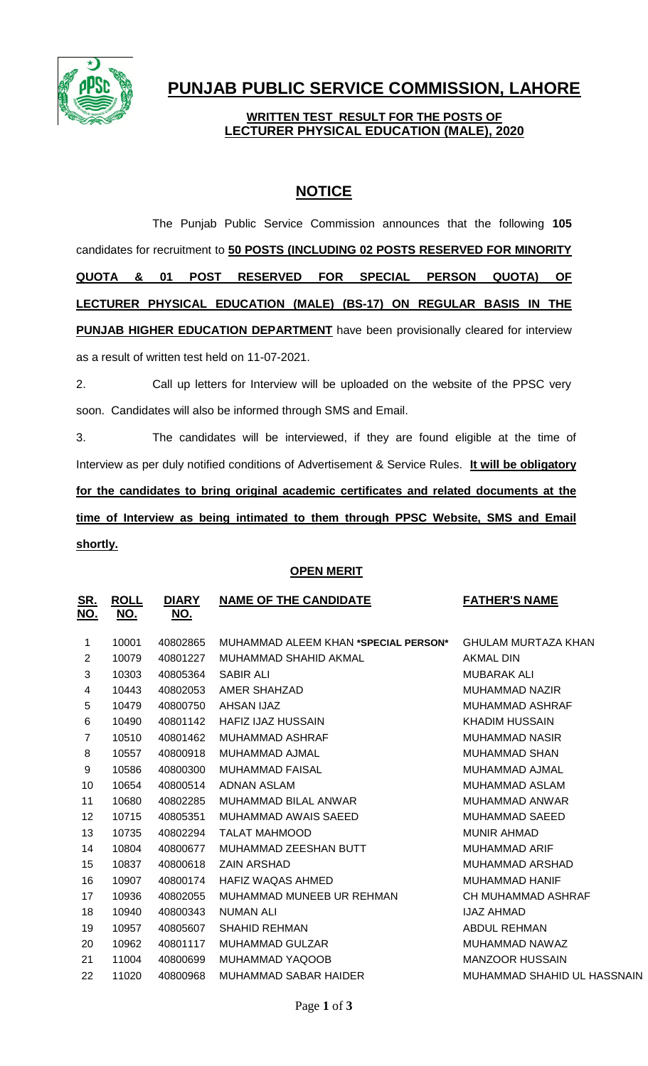

# **PUNJAB PUBLIC SERVICE COMMISSION, LAHORE**

## **WRITTEN TEST RESULT FOR THE POSTS OF LECTURER PHYSICAL EDUCATION (MALE), 2020**

# **NOTICE**

The Punjab Public Service Commission announces that the following **105** candidates for recruitment to **50 POSTS (INCLUDING 02 POSTS RESERVED FOR MINORITY QUOTA & 01 POST RESERVED FOR SPECIAL PERSON QUOTA) OF LECTURER PHYSICAL EDUCATION (MALE) (BS-17) ON REGULAR BASIS IN THE PUNJAB HIGHER EDUCATION DEPARTMENT** have been provisionally cleared for interview as a result of written test held on 11-07-2021.

2. Call up letters for Interview will be uploaded on the website of the PPSC very soon. Candidates will also be informed through SMS and Email.

3. The candidates will be interviewed, if they are found eligible at the time of Interview as per duly notified conditions of Advertisement & Service Rules. **It will be obligatory for the candidates to bring original academic certificates and related documents at the time of Interview as being intimated to them through PPSC Website, SMS and Email shortly.**

### **OPEN MERIT**

| <u>SR.</u><br><u>NO.</u> | <b>ROLL</b><br><u>NO.</u> | <b>DIARY</b><br><u>NO.</u> | <b>NAME OF THE CANDIDATE</b>         | <b>FATHER'S NAME</b>        |
|--------------------------|---------------------------|----------------------------|--------------------------------------|-----------------------------|
| 1                        | 10001                     | 40802865                   | MUHAMMAD ALEEM KHAN *SPECIAL PERSON* | <b>GHULAM MURTAZA KHAN</b>  |
| 2                        | 10079                     | 40801227                   | MUHAMMAD SHAHID AKMAL                | AKMAL DIN                   |
| 3                        | 10303                     | 40805364                   | <b>SABIR ALI</b>                     | MUBARAK ALI                 |
| 4                        | 10443                     | 40802053                   | AMER SHAHZAD                         | <b>MUHAMMAD NAZIR</b>       |
| 5                        | 10479                     | 40800750                   | AHSAN IJAZ                           | MUHAMMAD ASHRAF             |
| 6                        | 10490                     | 40801142                   | <b>HAFIZ IJAZ HUSSAIN</b>            | <b>KHADIM HUSSAIN</b>       |
| $\overline{7}$           | 10510                     | 40801462                   | <b>MUHAMMAD ASHRAF</b>               | <b>MUHAMMAD NASIR</b>       |
| 8                        | 10557                     | 40800918                   | MUHAMMAD AJMAL                       | MUHAMMAD SHAN               |
| $\boldsymbol{9}$         | 10586                     | 40800300                   | <b>MUHAMMAD FAISAL</b>               | MUHAMMAD AJMAL              |
| 10                       | 10654                     | 40800514                   | ADNAN ASLAM                          | MUHAMMAD ASLAM              |
| 11                       | 10680                     | 40802285                   | MUHAMMAD BILAL ANWAR                 | MUHAMMAD ANWAR              |
| 12                       | 10715                     | 40805351                   | MUHAMMAD AWAIS SAEED                 | <b>MUHAMMAD SAEED</b>       |
| 13                       | 10735                     | 40802294                   | TALAT MAHMOOD                        | <b>MUNIR AHMAD</b>          |
| 14                       | 10804                     | 40800677                   | MUHAMMAD ZEESHAN BUTT                | <b>MUHAMMAD ARIF</b>        |
| 15                       | 10837                     | 40800618                   | <b>ZAIN ARSHAD</b>                   | MUHAMMAD ARSHAD             |
| 16                       | 10907                     | 40800174                   | HAFIZ WAQAS AHMED                    | <b>MUHAMMAD HANIF</b>       |
| 17                       | 10936                     | 40802055                   | MUHAMMAD MUNEEB UR REHMAN            | CH MUHAMMAD ASHRAF          |
| 18                       | 10940                     | 40800343                   | NUMAN ALI                            | <b>IJAZ AHMAD</b>           |
| 19                       | 10957                     | 40805607                   | <b>SHAHID REHMAN</b>                 | <b>ABDUL REHMAN</b>         |
| 20                       | 10962                     | 40801117                   | <b>MUHAMMAD GULZAR</b>               | MUHAMMAD NAWAZ              |
| 21                       | 11004                     | 40800699                   | MUHAMMAD YAQOOB                      | <b>MANZOOR HUSSAIN</b>      |
| 22                       | 11020                     | 40800968                   | <b>MUHAMMAD SABAR HAIDER</b>         | MUHAMMAD SHAHID UL HASSNAIN |
|                          |                           |                            |                                      |                             |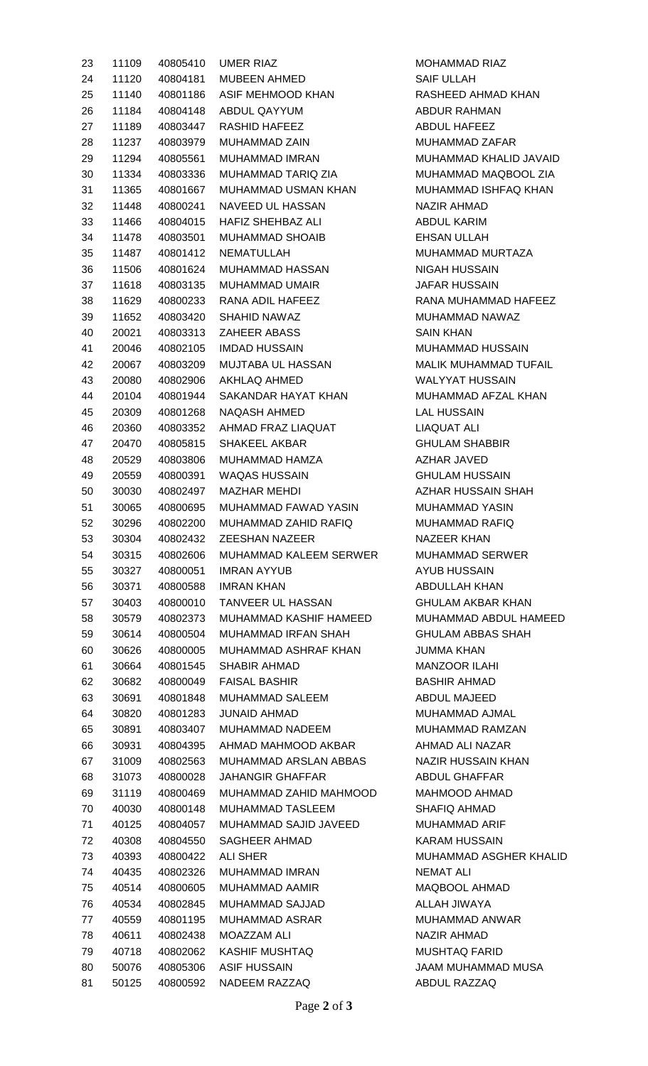| 23       | 11109          | 40805410             | <b>UMER RIAZ</b>                             |
|----------|----------------|----------------------|----------------------------------------------|
| 24       | 11120          |                      | 40804181  MUBEEN AHMED                       |
| 25       | 11140          |                      | 40801186 ASIF MEHMOOD KHAN                   |
| 26       | 11184          |                      | 40804148 ABDUL QAYYUM                        |
| 27       | 11189          |                      | 40803447 RASHID HAFEEZ                       |
| 28       |                |                      | 11237 40803979 MUHAMMAD ZAIN                 |
| 29       |                |                      | 11294  40805561  MUHAMMAD IMRAN              |
| 30       |                |                      | 11334 40803336 MUHAMMAD TARIQ ZIA            |
| 31       | 11365          |                      | 40801667 MUHAMMAD USMAN KHAN                 |
| 32       |                |                      | 11448 40800241 NAVEED UL HASSAN              |
| 33       |                |                      | 11466 40804015 HAFIZ SHEHBAZ ALI             |
| 34       |                |                      | 11478 40803501 MUHAMMAD SHOAIB               |
| 35       |                |                      | 11487    40801412    NEMATULLAH              |
| 36       |                |                      | 11506 40801624 MUHAMMAD HASSAN               |
| 37       | 11618          |                      | 40803135 MUHAMMAD UMAIR                      |
| 38       |                |                      | 11629 40800233 RANA ADIL HAFEEZ              |
| 39       |                |                      | 11652 40803420 SHAHID NAWAZ                  |
| 40       |                |                      | 20021 40803313 ZAHEER ABASS                  |
| 41       |                |                      | 20046 40802105 IMDAD HUSSAIN                 |
| 42       | 20067          |                      | 40803209 MUJTABA UL HASSAN                   |
| 43       | 20080          |                      | 40802906 AKHLAQ AHMED                        |
| 44       |                |                      | 20104 40801944 SAKANDAR HAYAT KHAN           |
| 45       |                |                      | 20309 40801268 NAQASH AHMED                  |
| 46       | 20360          |                      | 40803352 AHMAD FRAZ LIAQUAT                  |
| 47       | 20470          | 40805815             | SHAKEEL AKBAR                                |
| 48       |                |                      | 20529  40803806  MUHAMMAD HAMZA              |
| 49       |                |                      | 20559 40800391 WAQAS HUSSAIN                 |
| 50       | 30030          |                      | 40802497 MAZHAR MEHDI                        |
| 51       |                |                      | 30065 40800695 MUHAMMAD FAWAD YASIN          |
| 52       | 30296          |                      | 40802200 MUHAMMAD ZAHID RAFIQ                |
| 53       | 30304          | 40802432             | <b>ZEESHAN NAZEER</b>                        |
| 54       | 30315          | 40802606             | <b>MUHAMMAD KALEEM SERWER</b>                |
| 55       | 30327          | 40800051             | IMRAN AYYUB                                  |
| 56       | 30371          | 40800588             | IMRAN KHAN                                   |
| 57       | 30403          | 40800010             | <b>TANVEER UL HASSAN</b>                     |
| 58       | 30579          | 40802373             | MUHAMMAD KASHIF HAMEED                       |
| 59       | 30614          | 40800504             | <b>MUHAMMAD IRFAN SHAH</b>                   |
| 60       | 30626          | 40800005             | MUHAMMAD ASHRAF KHAN                         |
| 61       | 30664          | 40801545             | SHABIR AHMAD                                 |
| 62       | 30682          | 40800049             | FAISAL BASHIR                                |
| 63       | 30691          | 40801848             | MUHAMMAD SALEEM                              |
| 64       | 30820          | 40801283             | <b>JUNAID AHMAD</b>                          |
| 65       | 30891          | 40803407             | MUHAMMAD NADEEM                              |
|          |                |                      | AHMAD MAHMOOD AKBAR                          |
| 66       | 30931<br>31009 | 40804395<br>40802563 | MUHAMMAD ARSLAN ABBAS                        |
| 67       |                | 40800028             | JAHANGIR GHAFFAR                             |
| 68       | 31073          |                      |                                              |
| 69       | 31119          | 40800469             | MUHAMMAD ZAHID MAHMOOD                       |
| 70       | 40030          | 40800148             | MUHAMMAD TASLEEM                             |
| 71       | 40125          | 40804057             | MUHAMMAD SAJID JAVEED                        |
| 72       | 40308          | 40804550             | SAGHEER AHMAD                                |
| 73       | 40393          | 40800422             | ALI SHER                                     |
| 74       | 40435          | 40802326             | MUHAMMAD IMRAN                               |
| 75<br>76 | 40514          | 40800605             | MUHAMMAD AAMIR                               |
|          | 40534          | 40802845             | <b>MUHAMMAD SAJJAD</b>                       |
| 77       | 40559          | 40801195             | MUHAMMAD ASRAR                               |
| 78       | 40611          | 40802438             | MOAZZAM ALI                                  |
| 79       | 40718          | 40802062             | <b>KASHIF MUSHTAQ</b><br><b>ASIF HUSSAIN</b> |
| 80       | 50076          | 40805306             |                                              |
| 81       | 50125          | 40800592             | NADEEM RAZZAQ                                |

MOHAMMAD RIAZ SAIF ULLAH RASHEED AHMAD KHAN ABDUR RAHMAN ABDUL HAFEEZ MUHAMMAD ZAFAR MUHAMMAD KHALID JAVAID MUHAMMAD MAQBOOL ZIA MUHAMMAD ISHFAQ KHAN NAZIR AHMAD ABDUL KARIM EHSAN ULLAH MUHAMMAD MURTAZA NIGAH HUSSAIN **JAFAR HUSSAIN** RANA MUHAMMAD HAFEEZ MUHAMMAD NAWAZ SAIN KHAN MUHAMMAD HUSSAIN MALIK MUHAMMAD TUFAIL WALYYAT HUSSAIN MUHAMMAD AFZAL KHAN LAL HUSSAIN LIAQUAT ALI **GHULAM SHABBIR** AZHAR JAVED **GHULAM HUSSAIN AZHAR HUSSAIN SHAH** MUHAMMAD YASIN MUHAMMAD RAFIQ NAZEER KHAN MUHAMMAD SERWER AYUB HUSSAIN ABDULLAH KHAN **GHULAM AKBAR KHAN** MUHAMMAD ABDUL HAMEED **GHULAM ABBAS SHAH JUMMA KHAN MANZOOR ILAHI BASHIR AHMAD** ABDUL MAJEED MUHAMMAD AJMAL MUHAMMAD RAMZAN AHMAD ALI NAZAR NAZIR HUSSAIN KHAN ABDUL GHAFFAR MAHMOOD AHMAD SHAFIQ AHMAD MUHAMMAD ARIF KARAM HUSSAIN MUHAMMAD ASGHER KHALID **NEMAT ALI** MAQBOOL AHMAD ALLAH JIWAYA MUHAMMAD ANWAR NAZIR AHMAD MUSHTAQ FARID **JAAM MUHAMMAD MUSA** ABDUL RAZZAQ